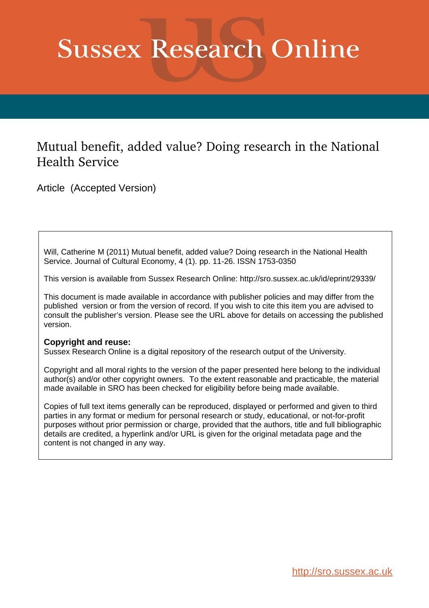# **Sussex Research Online**

# Mutual benefit, added value? Doing research in the National Health Service

Article (Accepted Version)

Will, Catherine M (2011) Mutual benefit, added value? Doing research in the National Health Service. Journal of Cultural Economy, 4 (1). pp. 11-26. ISSN 1753-0350

This version is available from Sussex Research Online: http://sro.sussex.ac.uk/id/eprint/29339/

This document is made available in accordance with publisher policies and may differ from the published version or from the version of record. If you wish to cite this item you are advised to consult the publisher's version. Please see the URL above for details on accessing the published version.

## **Copyright and reuse:**

Sussex Research Online is a digital repository of the research output of the University.

Copyright and all moral rights to the version of the paper presented here belong to the individual author(s) and/or other copyright owners. To the extent reasonable and practicable, the material made available in SRO has been checked for eligibility before being made available.

Copies of full text items generally can be reproduced, displayed or performed and given to third parties in any format or medium for personal research or study, educational, or not-for-profit purposes without prior permission or charge, provided that the authors, title and full bibliographic details are credited, a hyperlink and/or URL is given for the original metadata page and the content is not changed in any way.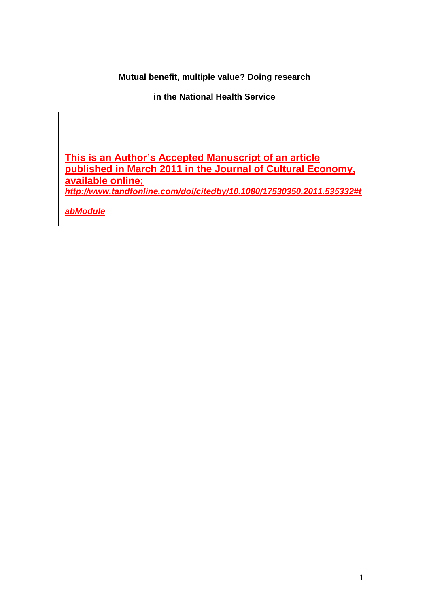**Mutual benefit, multiple value? Doing research** 

**in the National Health Service** 

**This is an Author's Accepted Manuscript of an article published in March 2011 in the Journal of Cultural Economy, available online;**  *http://www.tandfonline.com/doi/citedby/10.1080/17530350.2011.535332#t*

*abModule*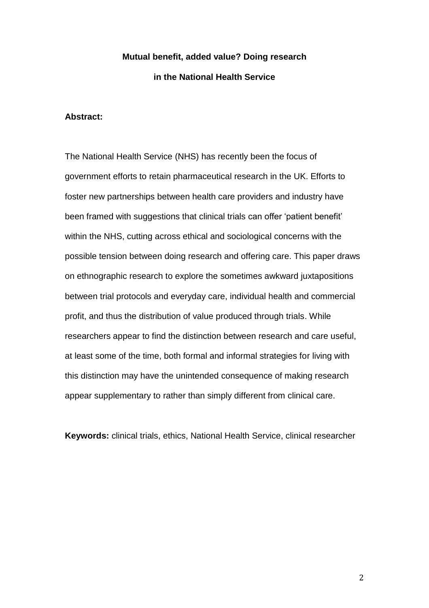# **Mutual benefit, added value? Doing research in the National Health Service**

### **Abstract:**

The National Health Service (NHS) has recently been the focus of government efforts to retain pharmaceutical research in the UK. Efforts to foster new partnerships between health care providers and industry have been framed with suggestions that clinical trials can offer 'patient benefit' within the NHS, cutting across ethical and sociological concerns with the possible tension between doing research and offering care. This paper draws on ethnographic research to explore the sometimes awkward juxtapositions between trial protocols and everyday care, individual health and commercial profit, and thus the distribution of value produced through trials. While researchers appear to find the distinction between research and care useful, at least some of the time, both formal and informal strategies for living with this distinction may have the unintended consequence of making research appear supplementary to rather than simply different from clinical care.

**Keywords:** clinical trials, ethics, National Health Service, clinical researcher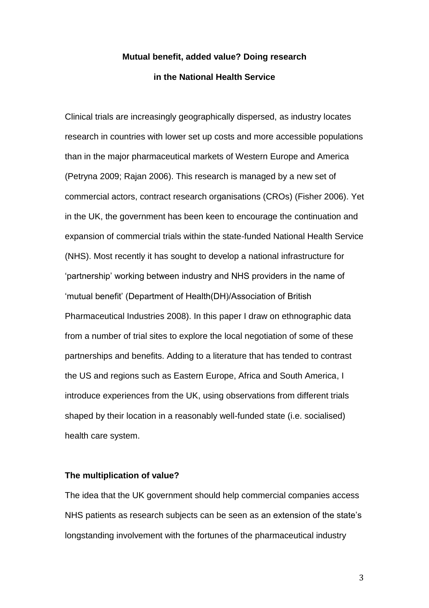# **Mutual benefit, added value? Doing research in the National Health Service**

Clinical trials are increasingly geographically dispersed, as industry locates research in countries with lower set up costs and more accessible populations than in the major pharmaceutical markets of Western Europe and America (Petryna 2009; Rajan 2006). This research is managed by a new set of commercial actors, contract research organisations (CROs) (Fisher 2006). Yet in the UK, the government has been keen to encourage the continuation and expansion of commercial trials within the state-funded National Health Service (NHS). Most recently it has sought to develop a national infrastructure for 'partnership' working between industry and NHS providers in the name of 'mutual benefit' (Department of Health(DH)/Association of British Pharmaceutical Industries 2008). In this paper I draw on ethnographic data from a number of trial sites to explore the local negotiation of some of these partnerships and benefits. Adding to a literature that has tended to contrast the US and regions such as Eastern Europe, Africa and South America, I introduce experiences from the UK, using observations from different trials shaped by their location in a reasonably well-funded state (i.e. socialised) health care system.

#### **The multiplication of value?**

The idea that the UK government should help commercial companies access NHS patients as research subjects can be seen as an extension of the state's longstanding involvement with the fortunes of the pharmaceutical industry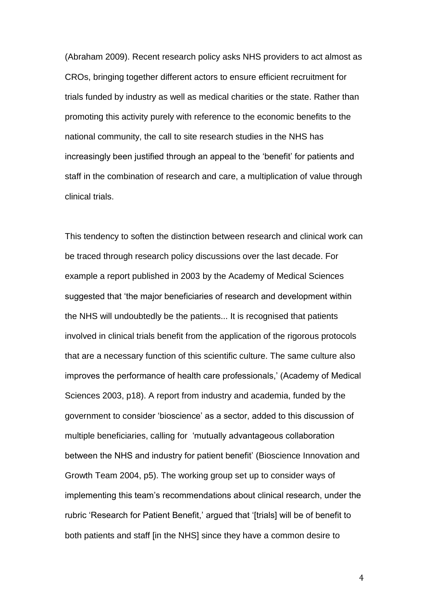(Abraham 2009). Recent research policy asks NHS providers to act almost as CROs, bringing together different actors to ensure efficient recruitment for trials funded by industry as well as medical charities or the state. Rather than promoting this activity purely with reference to the economic benefits to the national community, the call to site research studies in the NHS has increasingly been justified through an appeal to the 'benefit' for patients and staff in the combination of research and care, a multiplication of value through clinical trials.

This tendency to soften the distinction between research and clinical work can be traced through research policy discussions over the last decade. For example a report published in 2003 by the Academy of Medical Sciences suggested that 'the major beneficiaries of research and development within the NHS will undoubtedly be the patients... It is recognised that patients involved in clinical trials benefit from the application of the rigorous protocols that are a necessary function of this scientific culture. The same culture also improves the performance of health care professionals,' (Academy of Medical Sciences 2003, p18). A report from industry and academia, funded by the government to consider 'bioscience' as a sector, added to this discussion of multiple beneficiaries, calling for 'mutually advantageous collaboration between the NHS and industry for patient benefit' (Bioscience Innovation and Growth Team 2004, p5). The working group set up to consider ways of implementing this team's recommendations about clinical research, under the rubric 'Research for Patient Benefit,' argued that '[trials] will be of benefit to both patients and staff [in the NHS] since they have a common desire to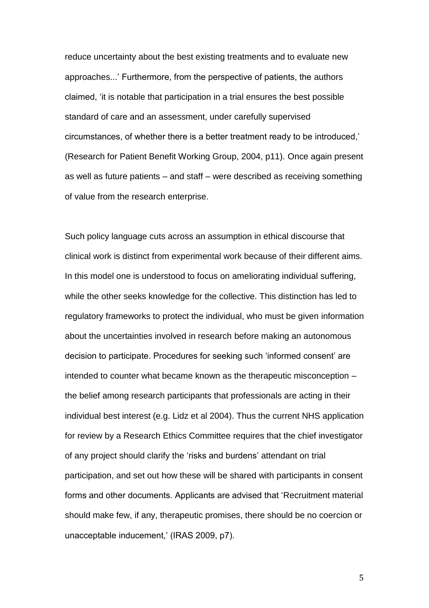reduce uncertainty about the best existing treatments and to evaluate new approaches...' Furthermore, from the perspective of patients, the authors claimed, 'it is notable that participation in a trial ensures the best possible standard of care and an assessment, under carefully supervised circumstances, of whether there is a better treatment ready to be introduced,' (Research for Patient Benefit Working Group, 2004, p11). Once again present as well as future patients – and staff – were described as receiving something of value from the research enterprise.

Such policy language cuts across an assumption in ethical discourse that clinical work is distinct from experimental work because of their different aims. In this model one is understood to focus on ameliorating individual suffering, while the other seeks knowledge for the collective. This distinction has led to regulatory frameworks to protect the individual, who must be given information about the uncertainties involved in research before making an autonomous decision to participate. Procedures for seeking such 'informed consent' are intended to counter what became known as the therapeutic misconception – the belief among research participants that professionals are acting in their individual best interest (e.g. Lidz et al 2004). Thus the current NHS application for review by a Research Ethics Committee requires that the chief investigator of any project should clarify the 'risks and burdens' attendant on trial participation, and set out how these will be shared with participants in consent forms and other documents. Applicants are advised that 'Recruitment material should make few, if any, therapeutic promises, there should be no coercion or unacceptable inducement,' (IRAS 2009, p7).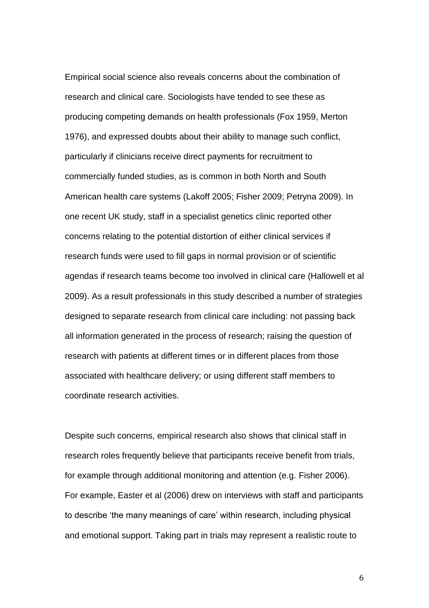Empirical social science also reveals concerns about the combination of research and clinical care. Sociologists have tended to see these as producing competing demands on health professionals (Fox 1959, Merton 1976), and expressed doubts about their ability to manage such conflict, particularly if clinicians receive direct payments for recruitment to commercially funded studies, as is common in both North and South American health care systems (Lakoff 2005; Fisher 2009; Petryna 2009). In one recent UK study, staff in a specialist genetics clinic reported other concerns relating to the potential distortion of either clinical services if research funds were used to fill gaps in normal provision or of scientific agendas if research teams become too involved in clinical care (Hallowell et al 2009). As a result professionals in this study described a number of strategies designed to separate research from clinical care including: not passing back all information generated in the process of research; raising the question of research with patients at different times or in different places from those associated with healthcare delivery; or using different staff members to coordinate research activities.

Despite such concerns, empirical research also shows that clinical staff in research roles frequently believe that participants receive benefit from trials, for example through additional monitoring and attention (e.g. Fisher 2006). For example, Easter et al (2006) drew on interviews with staff and participants to describe 'the many meanings of care' within research, including physical and emotional support. Taking part in trials may represent a realistic route to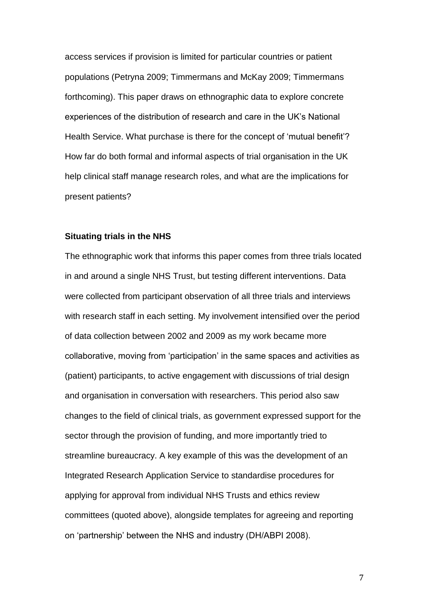access services if provision is limited for particular countries or patient populations (Petryna 2009; Timmermans and McKay 2009; Timmermans forthcoming). This paper draws on ethnographic data to explore concrete experiences of the distribution of research and care in the UK's National Health Service. What purchase is there for the concept of 'mutual benefit'? How far do both formal and informal aspects of trial organisation in the UK help clinical staff manage research roles, and what are the implications for present patients?

#### **Situating trials in the NHS**

The ethnographic work that informs this paper comes from three trials located in and around a single NHS Trust, but testing different interventions. Data were collected from participant observation of all three trials and interviews with research staff in each setting. My involvement intensified over the period of data collection between 2002 and 2009 as my work became more collaborative, moving from 'participation' in the same spaces and activities as (patient) participants, to active engagement with discussions of trial design and organisation in conversation with researchers. This period also saw changes to the field of clinical trials, as government expressed support for the sector through the provision of funding, and more importantly tried to streamline bureaucracy. A key example of this was the development of an Integrated Research Application Service to standardise procedures for applying for approval from individual NHS Trusts and ethics review committees (quoted above), alongside templates for agreeing and reporting on 'partnership' between the NHS and industry (DH/ABPI 2008).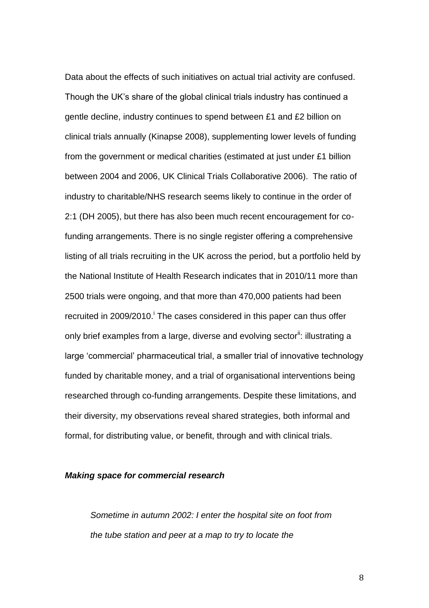Data about the effects of such initiatives on actual trial activity are confused. Though the UK's share of the global clinical trials industry has continued a gentle decline, industry continues to spend between £1 and £2 billion on clinical trials annually (Kinapse 2008), supplementing lower levels of funding from the government or medical charities (estimated at just under £1 billion between 2004 and 2006, UK Clinical Trials Collaborative 2006). The ratio of industry to charitable/NHS research seems likely to continue in the order of 2:1 (DH 2005), but there has also been much recent encouragement for cofunding arrangements. There is no single register offering a comprehensive listing of all trials recruiting in the UK across the period, but a portfolio held by the National Institute of Health Research indicates that in 2010/11 more than 2500 trials were ongoing, and that more than 470,000 patients had been recruited in 2009/2010. The cases considered in this paper can thus offer only brief examples from a large, diverse and evolving sector<sup>ii</sup>: illustrating a large 'commercial' pharmaceutical trial, a smaller trial of innovative technology funded by charitable money, and a trial of organisational interventions being researched through co-funding arrangements. Despite these limitations, and their diversity, my observations reveal shared strategies, both informal and formal, for distributing value, or benefit, through and with clinical trials.

## *Making space for commercial research*

*Sometime in autumn 2002: I enter the hospital site on foot from the tube station and peer at a map to try to locate the*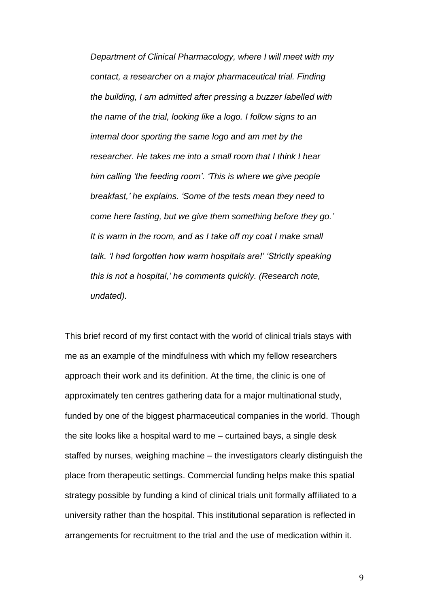*Department of Clinical Pharmacology, where I will meet with my contact, a researcher on a major pharmaceutical trial. Finding the building, I am admitted after pressing a buzzer labelled with the name of the trial, looking like a logo. I follow signs to an internal door sporting the same logo and am met by the researcher. He takes me into a small room that I think I hear him calling 'the feeding room'. 'This is where we give people breakfast,' he explains. 'Some of the tests mean they need to come here fasting, but we give them something before they go.' It is warm in the room, and as I take off my coat I make small talk. 'I had forgotten how warm hospitals are!' 'Strictly speaking this is not a hospital,' he comments quickly. (Research note, undated).*

This brief record of my first contact with the world of clinical trials stays with me as an example of the mindfulness with which my fellow researchers approach their work and its definition. At the time, the clinic is one of approximately ten centres gathering data for a major multinational study, funded by one of the biggest pharmaceutical companies in the world. Though the site looks like a hospital ward to me – curtained bays, a single desk staffed by nurses, weighing machine – the investigators clearly distinguish the place from therapeutic settings. Commercial funding helps make this spatial strategy possible by funding a kind of clinical trials unit formally affiliated to a university rather than the hospital. This institutional separation is reflected in arrangements for recruitment to the trial and the use of medication within it.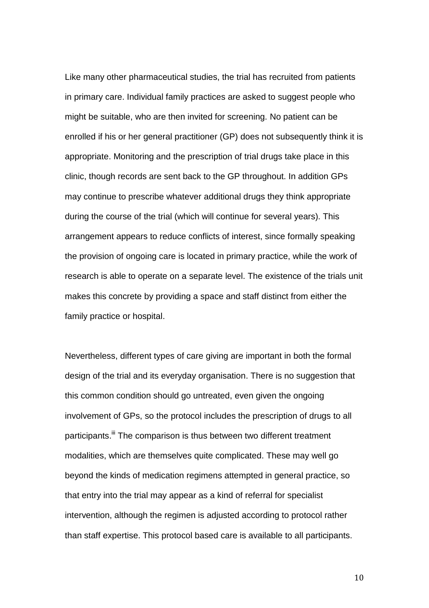Like many other pharmaceutical studies, the trial has recruited from patients in primary care. Individual family practices are asked to suggest people who might be suitable, who are then invited for screening. No patient can be enrolled if his or her general practitioner (GP) does not subsequently think it is appropriate. Monitoring and the prescription of trial drugs take place in this clinic, though records are sent back to the GP throughout. In addition GPs may continue to prescribe whatever additional drugs they think appropriate during the course of the trial (which will continue for several years). This arrangement appears to reduce conflicts of interest, since formally speaking the provision of ongoing care is located in primary practice, while the work of research is able to operate on a separate level. The existence of the trials unit makes this concrete by providing a space and staff distinct from either the family practice or hospital.

Nevertheless, different types of care giving are important in both the formal design of the trial and its everyday organisation. There is no suggestion that this common condition should go untreated, even given the ongoing involvement of GPs, so the protocol includes the prescription of drugs to all participants.<sup>iii</sup> The comparison is thus between two different treatment modalities, which are themselves quite complicated. These may well go beyond the kinds of medication regimens attempted in general practice, so that entry into the trial may appear as a kind of referral for specialist intervention, although the regimen is adjusted according to protocol rather than staff expertise. This protocol based care is available to all participants.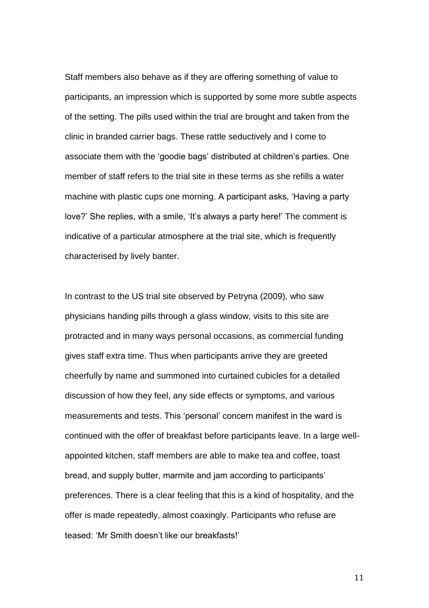Staff members also behave as if they are offering something of value to participants, an impression which is supported by some more subtle aspects of the setting. The pills used within the trial are brought and taken from the clinic in branded carrier bags. These rattle seductively and I come to associate them with the 'goodie bags' distributed at children's parties. One member of staff refers to the trial site in these terms as she refills a water machine with plastic cups one morning. A participant asks, 'Having a party love?' She replies, with a smile, 'It's always a party here!' The comment is indicative of a particular atmosphere at the trial site, which is frequently characterised by lively banter.

In contrast to the US trial site observed by Petryna (2009), who saw physicians handing pills through a glass window, visits to this site are protracted and in many ways personal occasions, as commercial funding gives staff extra time. Thus when participants arrive they are greeted cheerfully by name and summoned into curtained cubicles for a detailed discussion of how they feel, any side effects or symptoms, and various measurements and tests. This 'personal' concern manifest in the ward is continued with the offer of breakfast before participants leave. In a large wellappointed kitchen, staff members are able to make tea and coffee, toast bread, and supply butter, marmite and jam according to participants' preferences. There is a clear feeling that this is a kind of hospitality, and the offer is made repeatedly, almost coaxingly. Participants who refuse are teased: 'Mr Smith doesn't like our breakfasts!'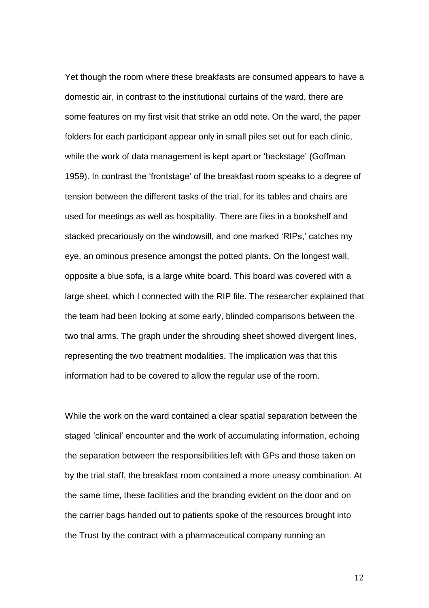Yet though the room where these breakfasts are consumed appears to have a domestic air, in contrast to the institutional curtains of the ward, there are some features on my first visit that strike an odd note. On the ward, the paper folders for each participant appear only in small piles set out for each clinic, while the work of data management is kept apart or 'backstage' (Goffman 1959). In contrast the 'frontstage' of the breakfast room speaks to a degree of tension between the different tasks of the trial, for its tables and chairs are used for meetings as well as hospitality. There are files in a bookshelf and stacked precariously on the windowsill, and one marked 'RIPs,' catches my eye, an ominous presence amongst the potted plants. On the longest wall, opposite a blue sofa, is a large white board. This board was covered with a large sheet, which I connected with the RIP file. The researcher explained that the team had been looking at some early, blinded comparisons between the two trial arms. The graph under the shrouding sheet showed divergent lines, representing the two treatment modalities. The implication was that this information had to be covered to allow the regular use of the room.

While the work on the ward contained a clear spatial separation between the staged 'clinical' encounter and the work of accumulating information, echoing the separation between the responsibilities left with GPs and those taken on by the trial staff, the breakfast room contained a more uneasy combination. At the same time, these facilities and the branding evident on the door and on the carrier bags handed out to patients spoke of the resources brought into the Trust by the contract with a pharmaceutical company running an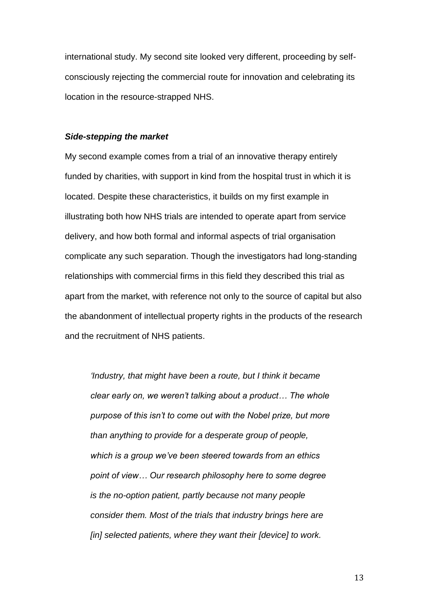international study. My second site looked very different, proceeding by selfconsciously rejecting the commercial route for innovation and celebrating its location in the resource-strapped NHS.

#### *Side-stepping the market*

My second example comes from a trial of an innovative therapy entirely funded by charities, with support in kind from the hospital trust in which it is located. Despite these characteristics, it builds on my first example in illustrating both how NHS trials are intended to operate apart from service delivery, and how both formal and informal aspects of trial organisation complicate any such separation. Though the investigators had long-standing relationships with commercial firms in this field they described this trial as apart from the market, with reference not only to the source of capital but also the abandonment of intellectual property rights in the products of the research and the recruitment of NHS patients.

*'Industry, that might have been a route, but I think it became clear early on, we weren't talking about a product… The whole purpose of this isn't to come out with the Nobel prize, but more than anything to provide for a desperate group of people, which is a group we've been steered towards from an ethics point of view… Our research philosophy here to some degree is the no-option patient, partly because not many people consider them. Most of the trials that industry brings here are [in] selected patients, where they want their [device] to work.*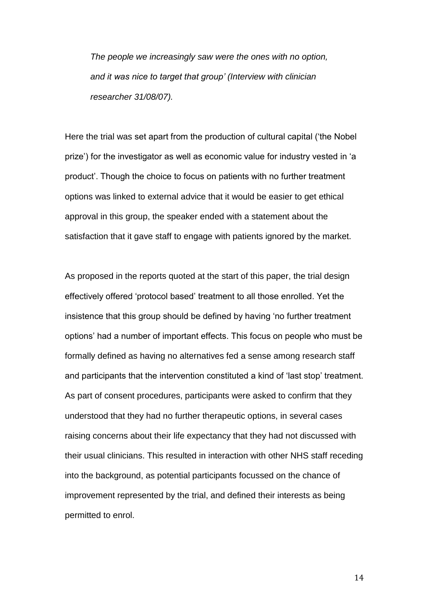*The people we increasingly saw were the ones with no option, and it was nice to target that group' (Interview with clinician researcher 31/08/07).*

Here the trial was set apart from the production of cultural capital ('the Nobel prize') for the investigator as well as economic value for industry vested in 'a product'. Though the choice to focus on patients with no further treatment options was linked to external advice that it would be easier to get ethical approval in this group, the speaker ended with a statement about the satisfaction that it gave staff to engage with patients ignored by the market.

As proposed in the reports quoted at the start of this paper, the trial design effectively offered 'protocol based' treatment to all those enrolled. Yet the insistence that this group should be defined by having 'no further treatment options' had a number of important effects. This focus on people who must be formally defined as having no alternatives fed a sense among research staff and participants that the intervention constituted a kind of 'last stop' treatment. As part of consent procedures, participants were asked to confirm that they understood that they had no further therapeutic options, in several cases raising concerns about their life expectancy that they had not discussed with their usual clinicians. This resulted in interaction with other NHS staff receding into the background, as potential participants focussed on the chance of improvement represented by the trial, and defined their interests as being permitted to enrol.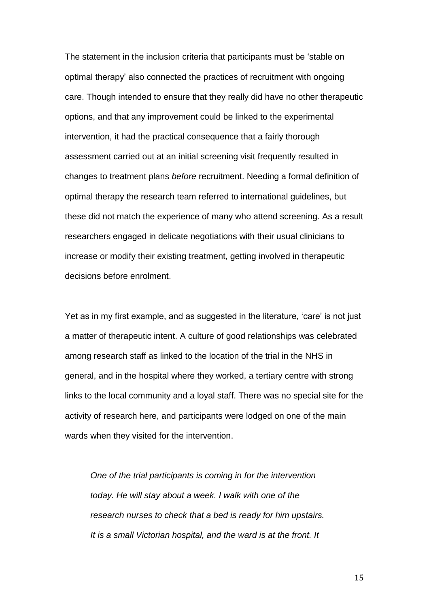The statement in the inclusion criteria that participants must be 'stable on optimal therapy' also connected the practices of recruitment with ongoing care. Though intended to ensure that they really did have no other therapeutic options, and that any improvement could be linked to the experimental intervention, it had the practical consequence that a fairly thorough assessment carried out at an initial screening visit frequently resulted in changes to treatment plans *before* recruitment. Needing a formal definition of optimal therapy the research team referred to international guidelines, but these did not match the experience of many who attend screening. As a result researchers engaged in delicate negotiations with their usual clinicians to increase or modify their existing treatment, getting involved in therapeutic decisions before enrolment.

Yet as in my first example, and as suggested in the literature, 'care' is not just a matter of therapeutic intent. A culture of good relationships was celebrated among research staff as linked to the location of the trial in the NHS in general, and in the hospital where they worked, a tertiary centre with strong links to the local community and a loyal staff. There was no special site for the activity of research here, and participants were lodged on one of the main wards when they visited for the intervention.

*One of the trial participants is coming in for the intervention today. He will stay about a week. I walk with one of the research nurses to check that a bed is ready for him upstairs. It is a small Victorian hospital, and the ward is at the front. It*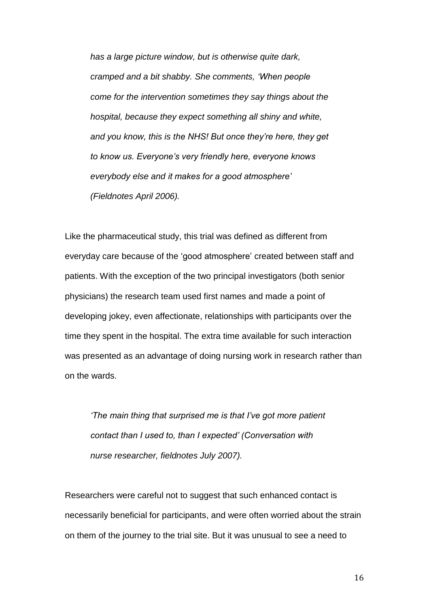*has a large picture window, but is otherwise quite dark, cramped and a bit shabby. She comments, 'When people come for the intervention sometimes they say things about the hospital, because they expect something all shiny and white, and you know, this is the NHS! But once they're here, they get to know us. Everyone's very friendly here, everyone knows everybody else and it makes for a good atmosphere' (Fieldnotes April 2006).*

Like the pharmaceutical study, this trial was defined as different from everyday care because of the 'good atmosphere' created between staff and patients. With the exception of the two principal investigators (both senior physicians) the research team used first names and made a point of developing jokey, even affectionate, relationships with participants over the time they spent in the hospital. The extra time available for such interaction was presented as an advantage of doing nursing work in research rather than on the wards.

*'The main thing that surprised me is that I've got more patient contact than I used to, than I expected' (Conversation with nurse researcher, fieldnotes July 2007).* 

Researchers were careful not to suggest that such enhanced contact is necessarily beneficial for participants, and were often worried about the strain on them of the journey to the trial site. But it was unusual to see a need to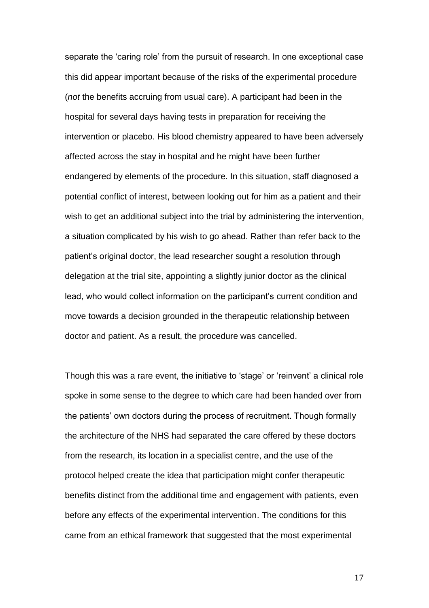separate the 'caring role' from the pursuit of research. In one exceptional case this did appear important because of the risks of the experimental procedure (*not* the benefits accruing from usual care). A participant had been in the hospital for several days having tests in preparation for receiving the intervention or placebo. His blood chemistry appeared to have been adversely affected across the stay in hospital and he might have been further endangered by elements of the procedure. In this situation, staff diagnosed a potential conflict of interest, between looking out for him as a patient and their wish to get an additional subject into the trial by administering the intervention, a situation complicated by his wish to go ahead. Rather than refer back to the patient's original doctor, the lead researcher sought a resolution through delegation at the trial site, appointing a slightly junior doctor as the clinical lead, who would collect information on the participant's current condition and move towards a decision grounded in the therapeutic relationship between doctor and patient. As a result, the procedure was cancelled.

Though this was a rare event, the initiative to 'stage' or 'reinvent' a clinical role spoke in some sense to the degree to which care had been handed over from the patients' own doctors during the process of recruitment. Though formally the architecture of the NHS had separated the care offered by these doctors from the research, its location in a specialist centre, and the use of the protocol helped create the idea that participation might confer therapeutic benefits distinct from the additional time and engagement with patients, even before any effects of the experimental intervention. The conditions for this came from an ethical framework that suggested that the most experimental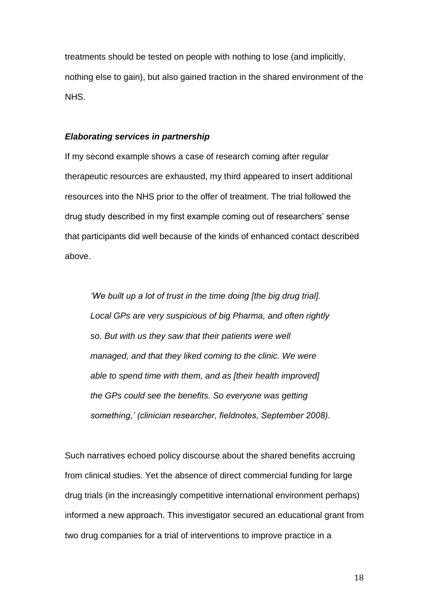treatments should be tested on people with nothing to lose (and implicitly, nothing else to gain), but also gained traction in the shared environment of the NHS.

#### *Elaborating services in partnership*

If my second example shows a case of research coming after regular therapeutic resources are exhausted, my third appeared to insert additional resources into the NHS prior to the offer of treatment. The trial followed the drug study described in my first example coming out of researchers' sense that participants did well because of the kinds of enhanced contact described above.

*'We built up a lot of trust in the time doing [the big drug trial]. Local GPs are very suspicious of big Pharma, and often rightly so. But with us they saw that their patients were well managed, and that they liked coming to the clinic. We were able to spend time with them, and as [their health improved] the GPs could see the benefits. So everyone was getting something,' (clinician researcher, fieldnotes, September 2008).* 

Such narratives echoed policy discourse about the shared benefits accruing from clinical studies. Yet the absence of direct commercial funding for large drug trials (in the increasingly competitive international environment perhaps) informed a new approach. This investigator secured an educational grant from two drug companies for a trial of interventions to improve practice in a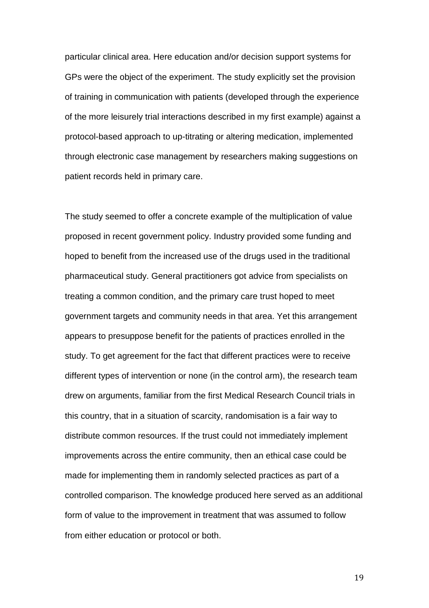particular clinical area. Here education and/or decision support systems for GPs were the object of the experiment. The study explicitly set the provision of training in communication with patients (developed through the experience of the more leisurely trial interactions described in my first example) against a protocol-based approach to up-titrating or altering medication, implemented through electronic case management by researchers making suggestions on patient records held in primary care.

The study seemed to offer a concrete example of the multiplication of value proposed in recent government policy. Industry provided some funding and hoped to benefit from the increased use of the drugs used in the traditional pharmaceutical study. General practitioners got advice from specialists on treating a common condition, and the primary care trust hoped to meet government targets and community needs in that area. Yet this arrangement appears to presuppose benefit for the patients of practices enrolled in the study. To get agreement for the fact that different practices were to receive different types of intervention or none (in the control arm), the research team drew on arguments, familiar from the first Medical Research Council trials in this country, that in a situation of scarcity, randomisation is a fair way to distribute common resources. If the trust could not immediately implement improvements across the entire community, then an ethical case could be made for implementing them in randomly selected practices as part of a controlled comparison. The knowledge produced here served as an additional form of value to the improvement in treatment that was assumed to follow from either education or protocol or both.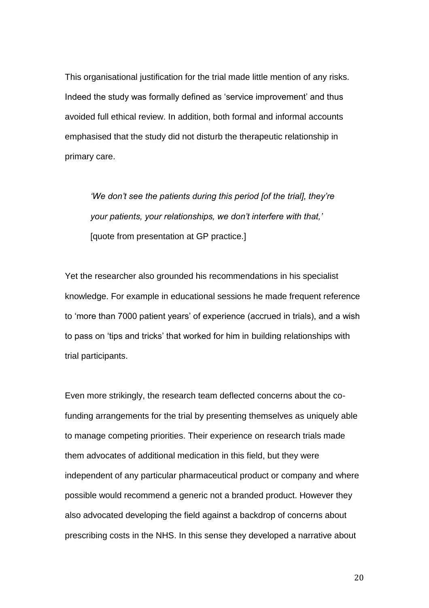This organisational justification for the trial made little mention of any risks. Indeed the study was formally defined as 'service improvement' and thus avoided full ethical review. In addition, both formal and informal accounts emphasised that the study did not disturb the therapeutic relationship in primary care.

*'We don't see the patients during this period [of the trial], they're your patients, your relationships, we don't interfere with that,'*  [quote from presentation at GP practice.]

Yet the researcher also grounded his recommendations in his specialist knowledge. For example in educational sessions he made frequent reference to 'more than 7000 patient years' of experience (accrued in trials), and a wish to pass on 'tips and tricks' that worked for him in building relationships with trial participants.

Even more strikingly, the research team deflected concerns about the cofunding arrangements for the trial by presenting themselves as uniquely able to manage competing priorities. Their experience on research trials made them advocates of additional medication in this field, but they were independent of any particular pharmaceutical product or company and where possible would recommend a generic not a branded product. However they also advocated developing the field against a backdrop of concerns about prescribing costs in the NHS. In this sense they developed a narrative about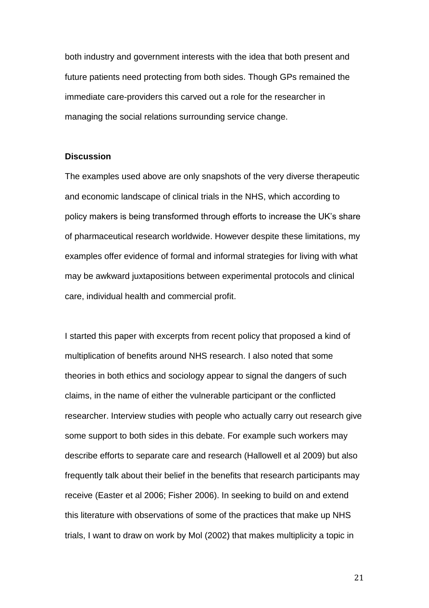both industry and government interests with the idea that both present and future patients need protecting from both sides. Though GPs remained the immediate care-providers this carved out a role for the researcher in managing the social relations surrounding service change.

#### **Discussion**

The examples used above are only snapshots of the very diverse therapeutic and economic landscape of clinical trials in the NHS, which according to policy makers is being transformed through efforts to increase the UK's share of pharmaceutical research worldwide. However despite these limitations, my examples offer evidence of formal and informal strategies for living with what may be awkward juxtapositions between experimental protocols and clinical care, individual health and commercial profit.

I started this paper with excerpts from recent policy that proposed a kind of multiplication of benefits around NHS research. I also noted that some theories in both ethics and sociology appear to signal the dangers of such claims, in the name of either the vulnerable participant or the conflicted researcher. Interview studies with people who actually carry out research give some support to both sides in this debate. For example such workers may describe efforts to separate care and research (Hallowell et al 2009) but also frequently talk about their belief in the benefits that research participants may receive (Easter et al 2006; Fisher 2006). In seeking to build on and extend this literature with observations of some of the practices that make up NHS trials, I want to draw on work by Mol (2002) that makes multiplicity a topic in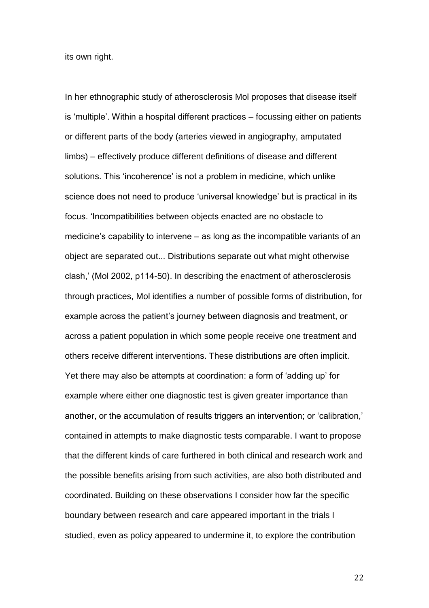its own right.

In her ethnographic study of atherosclerosis Mol proposes that disease itself is 'multiple'. Within a hospital different practices – focussing either on patients or different parts of the body (arteries viewed in angiography, amputated limbs) – effectively produce different definitions of disease and different solutions. This 'incoherence' is not a problem in medicine, which unlike science does not need to produce 'universal knowledge' but is practical in its focus. 'Incompatibilities between objects enacted are no obstacle to medicine's capability to intervene – as long as the incompatible variants of an object are separated out... Distributions separate out what might otherwise clash,' (Mol 2002, p114-50). In describing the enactment of atherosclerosis through practices, Mol identifies a number of possible forms of distribution, for example across the patient's journey between diagnosis and treatment, or across a patient population in which some people receive one treatment and others receive different interventions. These distributions are often implicit. Yet there may also be attempts at coordination: a form of 'adding up' for example where either one diagnostic test is given greater importance than another, or the accumulation of results triggers an intervention; or 'calibration,' contained in attempts to make diagnostic tests comparable. I want to propose that the different kinds of care furthered in both clinical and research work and the possible benefits arising from such activities, are also both distributed and coordinated. Building on these observations I consider how far the specific boundary between research and care appeared important in the trials I studied, even as policy appeared to undermine it, to explore the contribution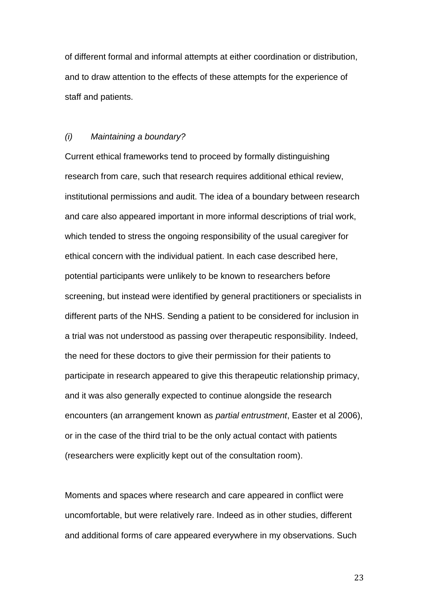of different formal and informal attempts at either coordination or distribution, and to draw attention to the effects of these attempts for the experience of staff and patients.

#### *(i) Maintaining a boundary?*

Current ethical frameworks tend to proceed by formally distinguishing research from care, such that research requires additional ethical review, institutional permissions and audit. The idea of a boundary between research and care also appeared important in more informal descriptions of trial work, which tended to stress the ongoing responsibility of the usual caregiver for ethical concern with the individual patient. In each case described here, potential participants were unlikely to be known to researchers before screening, but instead were identified by general practitioners or specialists in different parts of the NHS. Sending a patient to be considered for inclusion in a trial was not understood as passing over therapeutic responsibility. Indeed, the need for these doctors to give their permission for their patients to participate in research appeared to give this therapeutic relationship primacy, and it was also generally expected to continue alongside the research encounters (an arrangement known as *partial entrustment*, Easter et al 2006), or in the case of the third trial to be the only actual contact with patients (researchers were explicitly kept out of the consultation room).

Moments and spaces where research and care appeared in conflict were uncomfortable, but were relatively rare. Indeed as in other studies, different and additional forms of care appeared everywhere in my observations. Such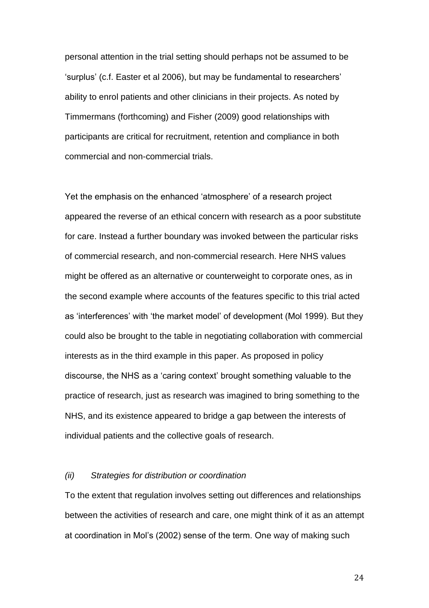personal attention in the trial setting should perhaps not be assumed to be 'surplus' (c.f. Easter et al 2006), but may be fundamental to researchers' ability to enrol patients and other clinicians in their projects. As noted by Timmermans (forthcoming) and Fisher (2009) good relationships with participants are critical for recruitment, retention and compliance in both commercial and non-commercial trials.

Yet the emphasis on the enhanced 'atmosphere' of a research project appeared the reverse of an ethical concern with research as a poor substitute for care. Instead a further boundary was invoked between the particular risks of commercial research, and non-commercial research. Here NHS values might be offered as an alternative or counterweight to corporate ones, as in the second example where accounts of the features specific to this trial acted as 'interferences' with 'the market model' of development (Mol 1999). But they could also be brought to the table in negotiating collaboration with commercial interests as in the third example in this paper. As proposed in policy discourse, the NHS as a 'caring context' brought something valuable to the practice of research, just as research was imagined to bring something to the NHS, and its existence appeared to bridge a gap between the interests of individual patients and the collective goals of research.

#### *(ii) Strategies for distribution or coordination*

To the extent that regulation involves setting out differences and relationships between the activities of research and care, one might think of it as an attempt at coordination in Mol's (2002) sense of the term. One way of making such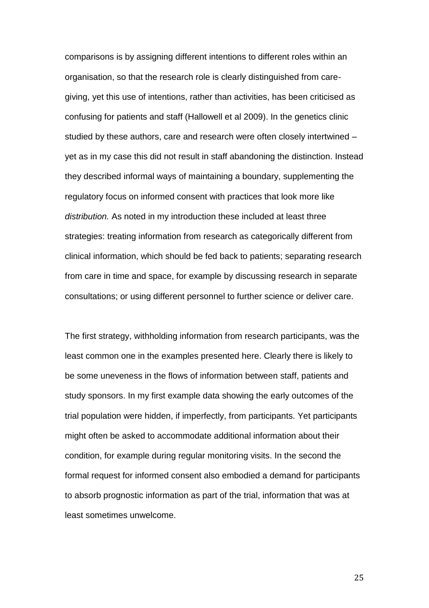comparisons is by assigning different intentions to different roles within an organisation, so that the research role is clearly distinguished from caregiving, yet this use of intentions, rather than activities, has been criticised as confusing for patients and staff (Hallowell et al 2009). In the genetics clinic studied by these authors, care and research were often closely intertwined – yet as in my case this did not result in staff abandoning the distinction. Instead they described informal ways of maintaining a boundary, supplementing the regulatory focus on informed consent with practices that look more like *distribution.* As noted in my introduction these included at least three strategies: treating information from research as categorically different from clinical information, which should be fed back to patients; separating research from care in time and space, for example by discussing research in separate consultations; or using different personnel to further science or deliver care.

The first strategy, withholding information from research participants, was the least common one in the examples presented here. Clearly there is likely to be some uneveness in the flows of information between staff, patients and study sponsors. In my first example data showing the early outcomes of the trial population were hidden, if imperfectly, from participants. Yet participants might often be asked to accommodate additional information about their condition, for example during regular monitoring visits. In the second the formal request for informed consent also embodied a demand for participants to absorb prognostic information as part of the trial, information that was at least sometimes unwelcome.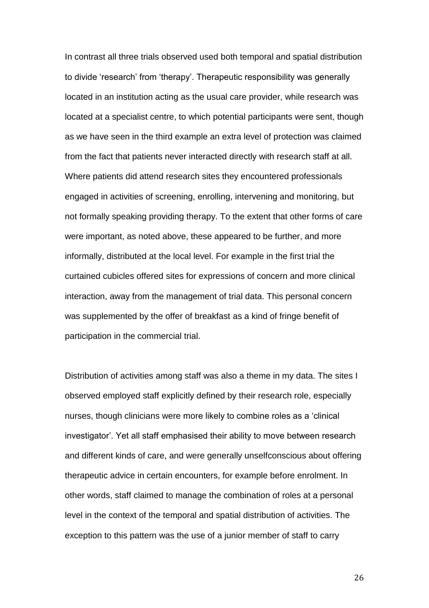In contrast all three trials observed used both temporal and spatial distribution to divide 'research' from 'therapy'. Therapeutic responsibility was generally located in an institution acting as the usual care provider, while research was located at a specialist centre, to which potential participants were sent, though as we have seen in the third example an extra level of protection was claimed from the fact that patients never interacted directly with research staff at all. Where patients did attend research sites they encountered professionals engaged in activities of screening, enrolling, intervening and monitoring, but not formally speaking providing therapy. To the extent that other forms of care were important, as noted above, these appeared to be further, and more informally, distributed at the local level. For example in the first trial the curtained cubicles offered sites for expressions of concern and more clinical interaction, away from the management of trial data. This personal concern was supplemented by the offer of breakfast as a kind of fringe benefit of participation in the commercial trial.

Distribution of activities among staff was also a theme in my data. The sites I observed employed staff explicitly defined by their research role, especially nurses, though clinicians were more likely to combine roles as a 'clinical investigator'. Yet all staff emphasised their ability to move between research and different kinds of care, and were generally unselfconscious about offering therapeutic advice in certain encounters, for example before enrolment. In other words, staff claimed to manage the combination of roles at a personal level in the context of the temporal and spatial distribution of activities. The exception to this pattern was the use of a junior member of staff to carry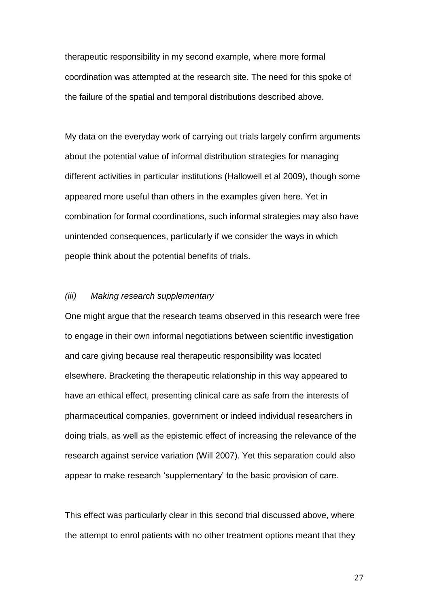therapeutic responsibility in my second example, where more formal coordination was attempted at the research site. The need for this spoke of the failure of the spatial and temporal distributions described above.

My data on the everyday work of carrying out trials largely confirm arguments about the potential value of informal distribution strategies for managing different activities in particular institutions (Hallowell et al 2009), though some appeared more useful than others in the examples given here. Yet in combination for formal coordinations, such informal strategies may also have unintended consequences, particularly if we consider the ways in which people think about the potential benefits of trials.

#### *(iii) Making research supplementary*

One might argue that the research teams observed in this research were free to engage in their own informal negotiations between scientific investigation and care giving because real therapeutic responsibility was located elsewhere. Bracketing the therapeutic relationship in this way appeared to have an ethical effect, presenting clinical care as safe from the interests of pharmaceutical companies, government or indeed individual researchers in doing trials, as well as the epistemic effect of increasing the relevance of the research against service variation (Will 2007). Yet this separation could also appear to make research 'supplementary' to the basic provision of care.

This effect was particularly clear in this second trial discussed above, where the attempt to enrol patients with no other treatment options meant that they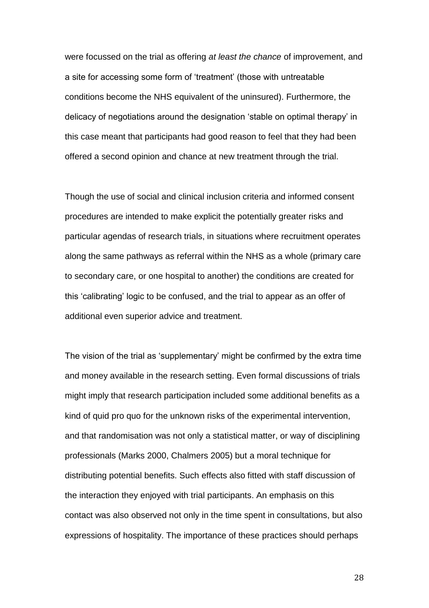were focussed on the trial as offering *at least the chance* of improvement, and a site for accessing some form of 'treatment' (those with untreatable conditions become the NHS equivalent of the uninsured). Furthermore, the delicacy of negotiations around the designation 'stable on optimal therapy' in this case meant that participants had good reason to feel that they had been offered a second opinion and chance at new treatment through the trial.

Though the use of social and clinical inclusion criteria and informed consent procedures are intended to make explicit the potentially greater risks and particular agendas of research trials, in situations where recruitment operates along the same pathways as referral within the NHS as a whole (primary care to secondary care, or one hospital to another) the conditions are created for this 'calibrating' logic to be confused, and the trial to appear as an offer of additional even superior advice and treatment.

The vision of the trial as 'supplementary' might be confirmed by the extra time and money available in the research setting. Even formal discussions of trials might imply that research participation included some additional benefits as a kind of quid pro quo for the unknown risks of the experimental intervention, and that randomisation was not only a statistical matter, or way of disciplining professionals (Marks 2000, Chalmers 2005) but a moral technique for distributing potential benefits. Such effects also fitted with staff discussion of the interaction they enjoyed with trial participants. An emphasis on this contact was also observed not only in the time spent in consultations, but also expressions of hospitality. The importance of these practices should perhaps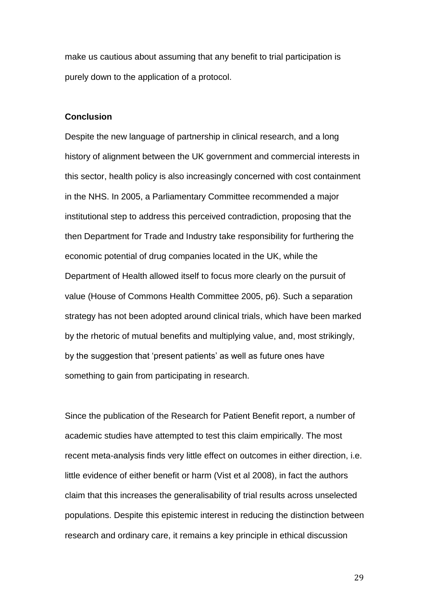make us cautious about assuming that any benefit to trial participation is purely down to the application of a protocol.

#### **Conclusion**

Despite the new language of partnership in clinical research, and a long history of alignment between the UK government and commercial interests in this sector, health policy is also increasingly concerned with cost containment in the NHS. In 2005, a Parliamentary Committee recommended a major institutional step to address this perceived contradiction, proposing that the then Department for Trade and Industry take responsibility for furthering the economic potential of drug companies located in the UK, while the Department of Health allowed itself to focus more clearly on the pursuit of value (House of Commons Health Committee 2005, p6). Such a separation strategy has not been adopted around clinical trials, which have been marked by the rhetoric of mutual benefits and multiplying value, and, most strikingly, by the suggestion that 'present patients' as well as future ones have something to gain from participating in research.

Since the publication of the Research for Patient Benefit report, a number of academic studies have attempted to test this claim empirically. The most recent meta-analysis finds very little effect on outcomes in either direction, i.e. little evidence of either benefit or harm (Vist et al 2008), in fact the authors claim that this increases the generalisability of trial results across unselected populations. Despite this epistemic interest in reducing the distinction between research and ordinary care, it remains a key principle in ethical discussion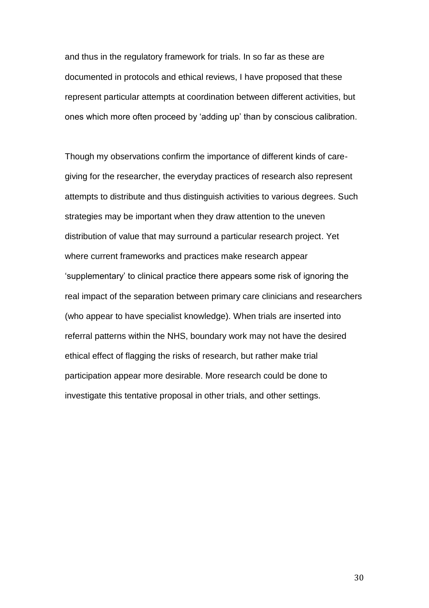and thus in the regulatory framework for trials. In so far as these are documented in protocols and ethical reviews, I have proposed that these represent particular attempts at coordination between different activities, but ones which more often proceed by 'adding up' than by conscious calibration.

Though my observations confirm the importance of different kinds of caregiving for the researcher, the everyday practices of research also represent attempts to distribute and thus distinguish activities to various degrees. Such strategies may be important when they draw attention to the uneven distribution of value that may surround a particular research project. Yet where current frameworks and practices make research appear 'supplementary' to clinical practice there appears some risk of ignoring the real impact of the separation between primary care clinicians and researchers (who appear to have specialist knowledge). When trials are inserted into referral patterns within the NHS, boundary work may not have the desired ethical effect of flagging the risks of research, but rather make trial participation appear more desirable. More research could be done to investigate this tentative proposal in other trials, and other settings.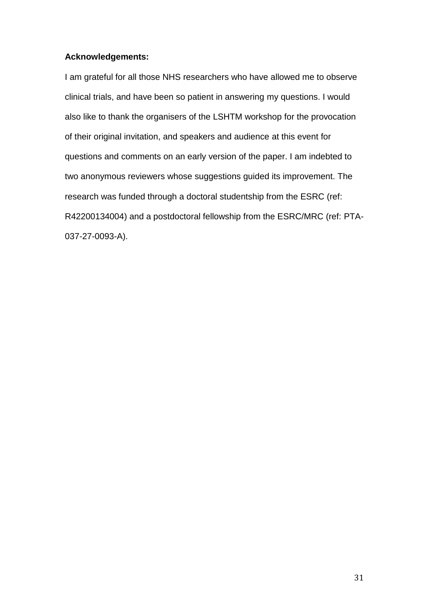# **Acknowledgements:**

I am grateful for all those NHS researchers who have allowed me to observe clinical trials, and have been so patient in answering my questions. I would also like to thank the organisers of the LSHTM workshop for the provocation of their original invitation, and speakers and audience at this event for questions and comments on an early version of the paper. I am indebted to two anonymous reviewers whose suggestions guided its improvement. The research was funded through a doctoral studentship from the ESRC (ref: R42200134004) and a postdoctoral fellowship from the ESRC/MRC (ref: PTA-037-27-0093-A).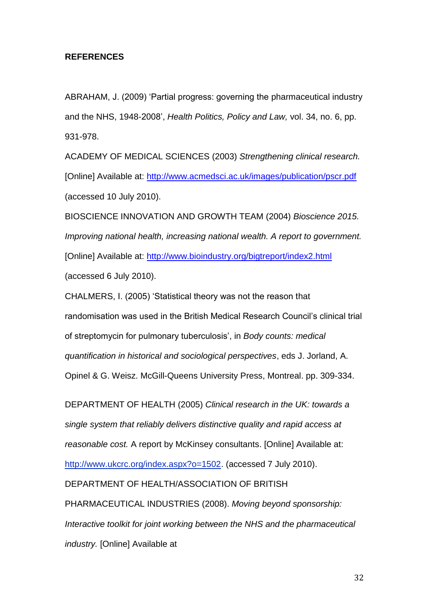## **REFERENCES**

ABRAHAM, J. (2009) 'Partial progress: governing the pharmaceutical industry and the NHS, 1948-2008', *Health Politics, Policy and Law,* vol. 34, no. 6, pp. 931-978.

ACADEMY OF MEDICAL SCIENCES (2003) *Strengthening clinical research.* [Online] Available at:<http://www.acmedsci.ac.uk/images/publication/pscr.pdf> (accessed 10 July 2010).

BIOSCIENCE INNOVATION AND GROWTH TEAM (2004) *Bioscience 2015. Improving national health, increasing national wealth. A report to government.* [Online] Available at:<http://www.bioindustry.org/bigtreport/index2.html> (accessed 6 July 2010).

CHALMERS, I. (2005) 'Statistical theory was not the reason that randomisation was used in the British Medical Research Council's clinical trial of streptomycin for pulmonary tuberculosis', in *Body counts: medical quantification in historical and sociological perspectives*, eds J. Jorland, A. Opinel & G. Weisz. McGill-Queens University Press, Montreal. pp. 309-334.

DEPARTMENT OF HEALTH (2005) *Clinical research in the UK: towards a single system that reliably delivers distinctive quality and rapid access at reasonable cost.* A report by McKinsey consultants. [Online] Available at: [http://www.ukcrc.org/index.aspx?o=1502.](http://www.ukcrc.org/index.aspx?o=1502) (accessed 7 July 2010).

DEPARTMENT OF HEALTH/ASSOCIATION OF BRITISH

PHARMACEUTICAL INDUSTRIES (2008). *Moving beyond sponsorship: Interactive toolkit for joint working between the NHS and the pharmaceutical industry.* [Online] Available at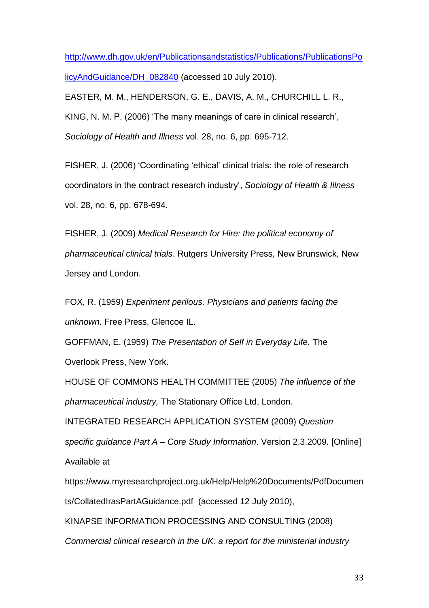[http://www.dh.gov.uk/en/Publicationsandstatistics/Publications/PublicationsPo](http://www.dh.gov.uk/en/Publicationsandstatistics/Publications/PublicationsPolicyAndGuidance/DH_082840) [licyAndGuidance/DH\\_082840](http://www.dh.gov.uk/en/Publicationsandstatistics/Publications/PublicationsPolicyAndGuidance/DH_082840) (accessed 10 July 2010). EASTER, M. M., HENDERSON, G. E., DAVIS, A. M., CHURCHILL L. R.,

KING, N. M. P. (2006) 'The many meanings of care in clinical research', *Sociology of Health and Illness* vol. 28, no. 6, pp. 695-712.

FISHER, J. (2006) 'Coordinating 'ethical' clinical trials: the role of research coordinators in the contract research industry', *Sociology of Health & Illness* vol. 28, no. 6, pp. 678-694.

FISHER, J. (2009) *Medical Research for Hire: the political economy of pharmaceutical clinical trials*. Rutgers University Press, New Brunswick, New Jersey and London.

FOX, R. (1959) *Experiment perilous. Physicians and patients facing the unknown.* Free Press, Glencoe IL.

GOFFMAN, E. (1959) *The Presentation of Self in Everyday Life.* The Overlook Press, New York.

HOUSE OF COMMONS HEALTH COMMITTEE (2005) *The influence of the pharmaceutical industry,* The Stationary Office Ltd, London.

INTEGRATED RESEARCH APPLICATION SYSTEM (2009) *Question* 

*specific guidance Part A – Core Study Information*. Version 2.3.2009. [Online] Available at

https://www.myresearchproject.org.uk/Help/Help%20Documents/PdfDocumen ts/CollatedIrasPartAGuidance.pdf (accessed 12 July 2010),

KINAPSE INFORMATION PROCESSING AND CONSULTING (2008)

*Commercial clinical research in the UK: a report for the ministerial industry*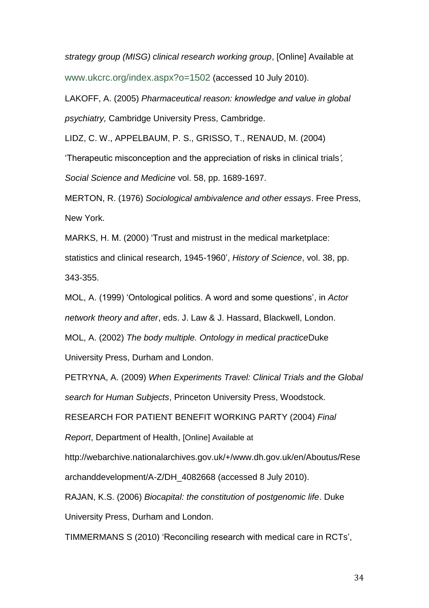*strategy group (MISG) clinical research working group*, [Online] Available at www.ukcrc.org/index.aspx?o=1502 (accessed 10 July 2010).

LAKOFF, A. (2005) *Pharmaceutical reason: knowledge and value in global psychiatry,* Cambridge University Press, Cambridge.

LIDZ, C. W., APPELBAUM, P. S., GRISSO, T., RENAUD, M. (2004)

'Therapeutic misconception and the appreciation of risks in clinical trials*', Social Science and Medicine* vol. 58, pp. 1689-1697.

MERTON, R. (1976) *Sociological ambivalence and other essays*. Free Press, New York.

MARKS, H. M. (2000) 'Trust and mistrust in the medical marketplace: statistics and clinical research, 1945-1960', *History of Science*, vol. 38, pp. 343-355.

MOL, A. (1999) 'Ontological politics. A word and some questions', in *Actor network theory and after*, eds. J. Law & J. Hassard, Blackwell, London. MOL, A. (2002) *The body multiple. Ontology in medical practice*Duke University Press, Durham and London.

PETRYNA, A. (2009) *When Experiments Travel: Clinical Trials and the Global search for Human Subjects*, Princeton University Press, Woodstock.

RESEARCH FOR PATIENT BENEFIT WORKING PARTY (2004) *Final* 

*Report*, Department of Health, [Online] Available at

http://webarchive.nationalarchives.gov.uk/+/www.dh.gov.uk/en/Aboutus/Rese

archanddevelopment/A-Z/DH\_4082668 (accessed 8 July 2010).

RAJAN, K.S. (2006) *Biocapital: the constitution of postgenomic life*. Duke University Press, Durham and London.

TIMMERMANS S (2010) 'Reconciling research with medical care in RCTs',